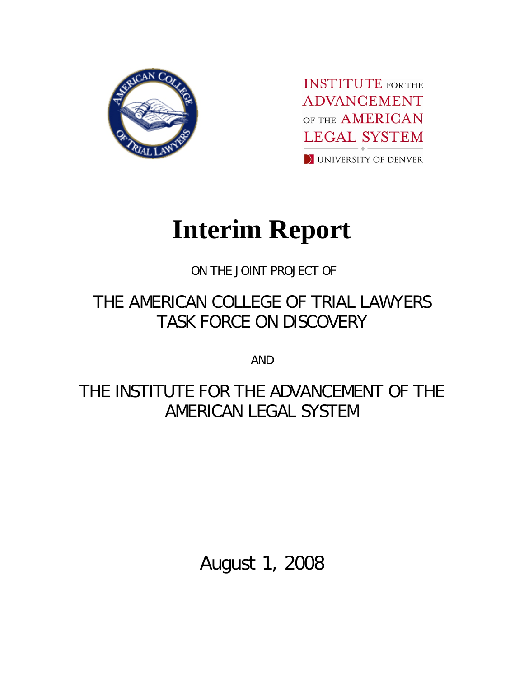

**INSTITUTE** FOR THE **ADVANCEMENT** OF THE AMERICAN **LEGAL SYSTEM** I UNIVERSITY OF DENVER

# **Interim Report**

ON THE JOINT PROJECT OF

# THE AMERICAN COLLEGE OF TRIAL LAWYERS TASK FORCE ON DISCOVERY

AND

THE INSTITUTE FOR THE ADVANCEMENT OF THE AMERICAN LEGAL SYSTEM

August 1, 2008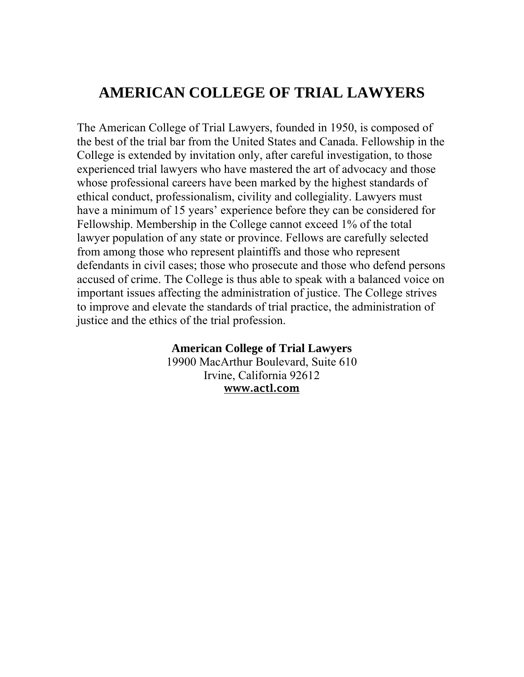# **AMERICAN COLLEGE OF TRIAL LAWYERS**

The American College of Trial Lawyers, founded in 1950, is composed of the best of the trial bar from the United States and Canada. Fellowship in the College is extended by invitation only, after careful investigation, to those experienced trial lawyers who have mastered the art of advocacy and those whose professional careers have been marked by the highest standards of ethical conduct, professionalism, civility and collegiality. Lawyers must have a minimum of 15 years' experience before they can be considered for Fellowship. Membership in the College cannot exceed 1% of the total lawyer population of any state or province. Fellows are carefully selected from among those who represent plaintiffs and those who represent defendants in civil cases; those who prosecute and those who defend persons accused of crime. The College is thus able to speak with a balanced voice on important issues affecting the administration of justice. The College strives to improve and elevate the standards of trial practice, the administration of justice and the ethics of the trial profession.

# **American College of Trial Lawyers**

19900 MacArthur Boulevard, Suite 610 Irvine, California 92612 www.actl.com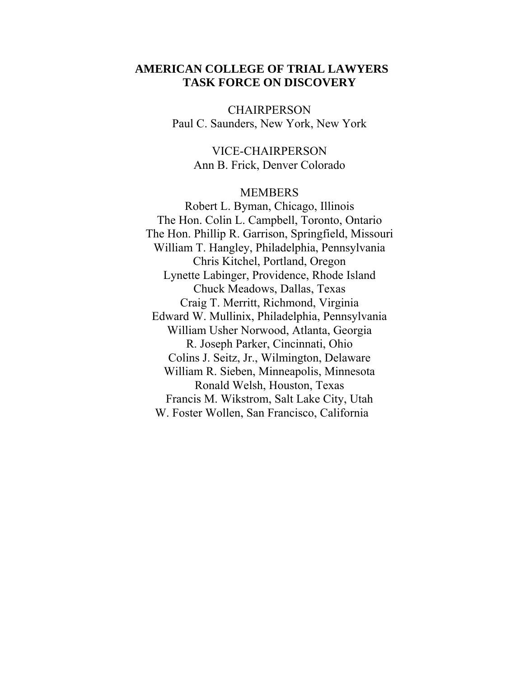# **AMERICAN COLLEGE OF TRIAL LAWYERS TASK FORCE ON DISCOVERY**

**CHAIRPERSON** Paul C. Saunders, New York, New York

> VICE-CHAIRPERSON Ann B. Frick, Denver Colorado

#### MEMBERS

Robert L. Byman, Chicago, Illinois The Hon. Colin L. Campbell, Toronto, Ontario The Hon. Phillip R. Garrison, Springfield, Missouri William T. Hangley, Philadelphia, Pennsylvania Chris Kitchel, Portland, Oregon Lynette Labinger, Providence, Rhode Island Chuck Meadows, Dallas, Texas Craig T. Merritt, Richmond, Virginia Edward W. Mullinix, Philadelphia, Pennsylvania William Usher Norwood, Atlanta, Georgia R. Joseph Parker, Cincinnati, Ohio Colins J. Seitz, Jr., Wilmington, Delaware William R. Sieben, Minneapolis, Minnesota Ronald Welsh, Houston, Texas Francis M. Wikstrom, Salt Lake City, Utah W. Foster Wollen, San Francisco, California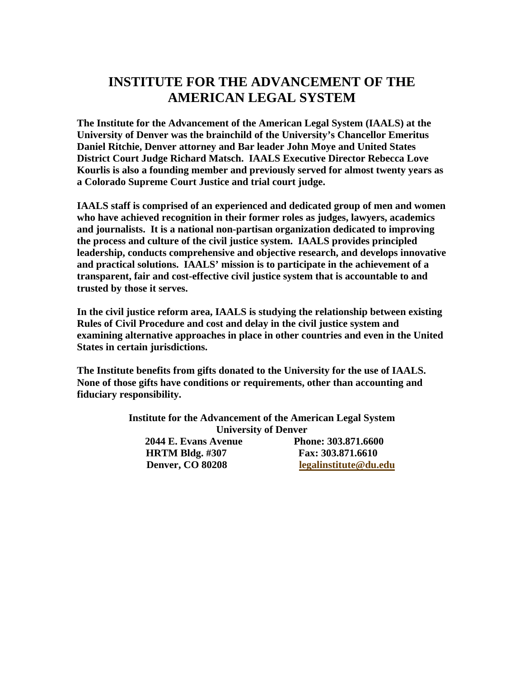# **INSTITUTE FOR THE ADVANCEMENT OF THE AMERICAN LEGAL SYSTEM**

**The Institute for the Advancement of the American Legal System (IAALS) at the University of Denver was the brainchild of the University's Chancellor Emeritus Daniel Ritchie, Denver attorney and Bar leader John Moye and United States District Court Judge Richard Matsch. IAALS Executive Director Rebecca Love Kourlis is also a founding member and previously served for almost twenty years as a Colorado Supreme Court Justice and trial court judge.** 

**IAALS staff is comprised of an experienced and dedicated group of men and women who have achieved recognition in their former roles as judges, lawyers, academics and journalists. It is a national non-partisan organization dedicated to improving the process and culture of the civil justice system. IAALS provides principled leadership, conducts comprehensive and objective research, and develops innovative and practical solutions. IAALS' mission is to participate in the achievement of a transparent, fair and cost-effective civil justice system that is accountable to and trusted by those it serves.** 

**In the civil justice reform area, IAALS is studying the relationship between existing Rules of Civil Procedure and cost and delay in the civil justice system and examining alternative approaches in place in other countries and even in the United States in certain jurisdictions.** 

**The Institute benefits from gifts donated to the University for the use of IAALS. None of those gifts have conditions or requirements, other than accounting and fiduciary responsibility.** 

| <b>Institute for the Advancement of the American Legal System</b> |                       |
|-------------------------------------------------------------------|-----------------------|
| <b>University of Denver</b>                                       |                       |
| 2044 E. Evans Avenue                                              | Phone: 303.871.6600   |
| <b>HRTM Bldg.</b> #307                                            | Fax: 303.871.6610     |
| <b>Denver, CO 80208</b>                                           | legalinstitute@du.edu |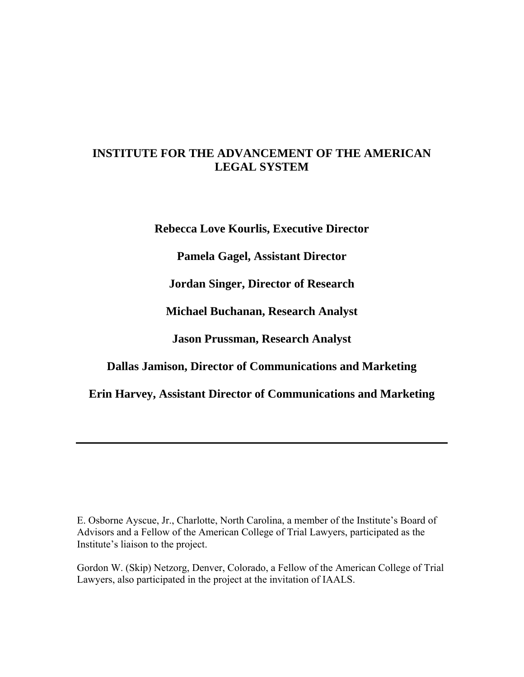# **INSTITUTE FOR THE ADVANCEMENT OF THE AMERICAN LEGAL SYSTEM**

**Rebecca Love Kourlis, Executive Director** 

**Pamela Gagel, Assistant Director** 

**Jordan Singer, Director of Research** 

**Michael Buchanan, Research Analyst** 

**Jason Prussman, Research Analyst** 

**Dallas Jamison, Director of Communications and Marketing** 

**Erin Harvey, Assistant Director of Communications and Marketing** 

E. Osborne Ayscue, Jr., Charlotte, North Carolina, a member of the Institute's Board of Advisors and a Fellow of the American College of Trial Lawyers, participated as the Institute's liaison to the project.

Gordon W. (Skip) Netzorg, Denver, Colorado, a Fellow of the American College of Trial Lawyers, also participated in the project at the invitation of IAALS.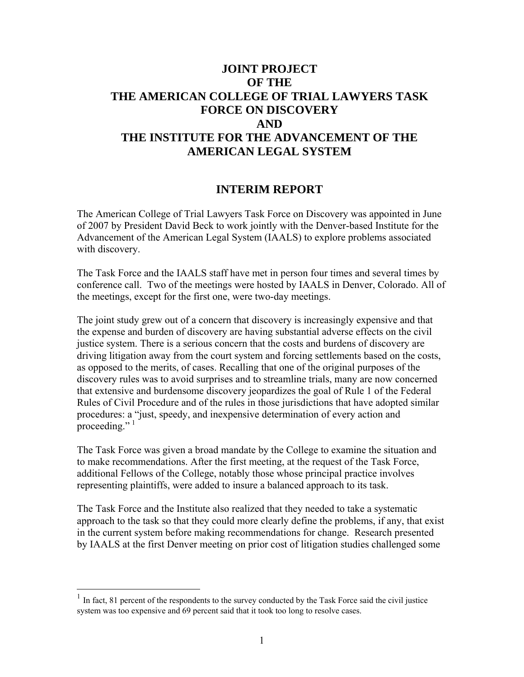# **JOINT PROJECT OF THE THE AMERICAN COLLEGE OF TRIAL LAWYERS TASK FORCE ON DISCOVERY AND THE INSTITUTE FOR THE ADVANCEMENT OF THE AMERICAN LEGAL SYSTEM**

# **INTERIM REPORT**

The American College of Trial Lawyers Task Force on Discovery was appointed in June of 2007 by President David Beck to work jointly with the Denver-based Institute for the Advancement of the American Legal System (IAALS) to explore problems associated with discovery.

The Task Force and the IAALS staff have met in person four times and several times by conference call. Two of the meetings were hosted by IAALS in Denver, Colorado. All of the meetings, except for the first one, were two-day meetings.

The joint study grew out of a concern that discovery is increasingly expensive and that the expense and burden of discovery are having substantial adverse effects on the civil justice system. There is a serious concern that the costs and burdens of discovery are driving litigation away from the court system and forcing settlements based on the costs, as opposed to the merits, of cases. Recalling that one of the original purposes of the discovery rules was to avoid surprises and to streamline trials, many are now concerned that extensive and burdensome discovery jeopardizes the goal of Rule 1 of the Federal Rules of Civil Procedure and of the rules in those jurisdictions that have adopted similar procedures: a "just, speedy, and inexpensive determination of every action and proceeding." $1$ 

The Task Force was given a broad mandate by the College to examine the situation and to make recommendations. After the first meeting, at the request of the Task Force, additional Fellows of the College, notably those whose principal practice involves representing plaintiffs, were added to insure a balanced approach to its task.

The Task Force and the Institute also realized that they needed to take a systematic approach to the task so that they could more clearly define the problems, if any, that exist in the current system before making recommendations for change. Research presented by IAALS at the first Denver meeting on prior cost of litigation studies challenged some

 $\overline{a}$ 

<span id="page-5-0"></span> $1$  In fact, 81 percent of the respondents to the survey conducted by the Task Force said the civil justice system was too expensive and 69 percent said that it took too long to resolve cases.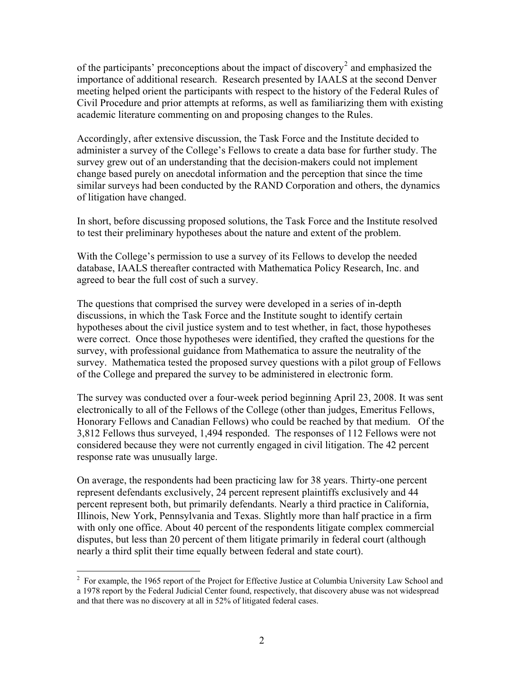of the participants' preconceptions about the impact of discovery<sup>[2](#page-6-0)</sup> and emphasized the importance of additional research. Research presented by IAALS at the second Denver meeting helped orient the participants with respect to the history of the Federal Rules of Civil Procedure and prior attempts at reforms, as well as familiarizing them with existing academic literature commenting on and proposing changes to the Rules.

Accordingly, after extensive discussion, the Task Force and the Institute decided to administer a survey of the College's Fellows to create a data base for further study. The survey grew out of an understanding that the decision-makers could not implement change based purely on anecdotal information and the perception that since the time similar surveys had been conducted by the RAND Corporation and others, the dynamics of litigation have changed.

In short, before discussing proposed solutions, the Task Force and the Institute resolved to test their preliminary hypotheses about the nature and extent of the problem.

With the College's permission to use a survey of its Fellows to develop the needed database, IAALS thereafter contracted with Mathematica Policy Research, Inc. and agreed to bear the full cost of such a survey.

The questions that comprised the survey were developed in a series of in-depth discussions, in which the Task Force and the Institute sought to identify certain hypotheses about the civil justice system and to test whether, in fact, those hypotheses were correct. Once those hypotheses were identified, they crafted the questions for the survey, with professional guidance from Mathematica to assure the neutrality of the survey. Mathematica tested the proposed survey questions with a pilot group of Fellows of the College and prepared the survey to be administered in electronic form.

The survey was conducted over a four-week period beginning April 23, 2008. It was sent electronically to all of the Fellows of the College (other than judges, Emeritus Fellows, Honorary Fellows and Canadian Fellows) who could be reached by that medium. Of the 3,812 Fellows thus surveyed, 1,494 responded. The responses of 112 Fellows were not considered because they were not currently engaged in civil litigation. The 42 percent response rate was unusually large.

On average, the respondents had been practicing law for 38 years. Thirty-one percent represent defendants exclusively, 24 percent represent plaintiffs exclusively and 44 percent represent both, but primarily defendants. Nearly a third practice in California, Illinois, New York, Pennsylvania and Texas. Slightly more than half practice in a firm with only one office. About 40 percent of the respondents litigate complex commercial disputes, but less than 20 percent of them litigate primarily in federal court (although nearly a third split their time equally between federal and state court).

<span id="page-6-0"></span><sup>&</sup>lt;sup>2</sup> For example, the 1965 report of the Project for Effective Justice at Columbia University Law School and a 1978 report by the Federal Judicial Center found, respectively, that discovery abuse was not widespread and that there was no discovery at all in 52% of litigated federal cases.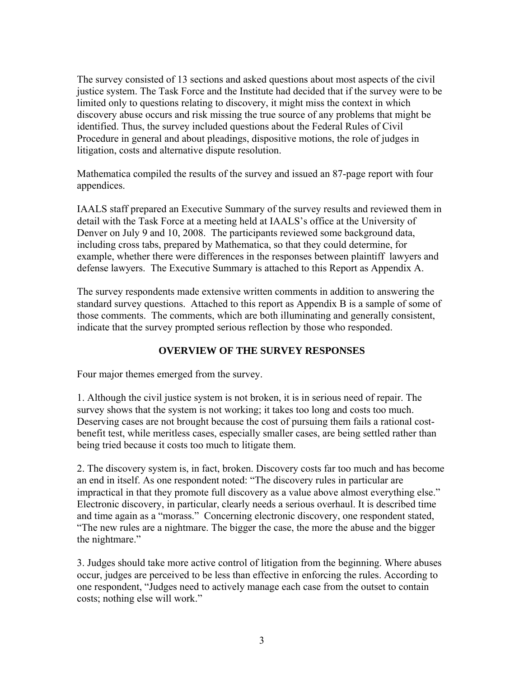The survey consisted of 13 sections and asked questions about most aspects of the civil justice system. The Task Force and the Institute had decided that if the survey were to be limited only to questions relating to discovery, it might miss the context in which discovery abuse occurs and risk missing the true source of any problems that might be identified. Thus, the survey included questions about the Federal Rules of Civil Procedure in general and about pleadings, dispositive motions, the role of judges in litigation, costs and alternative dispute resolution.

Mathematica compiled the results of the survey and issued an 87-page report with four appendices.

IAALS staff prepared an Executive Summary of the survey results and reviewed them in detail with the Task Force at a meeting held at IAALS's office at the University of Denver on July 9 and 10, 2008. The participants reviewed some background data, including cross tabs, prepared by Mathematica, so that they could determine, for example, whether there were differences in the responses between plaintiff lawyers and defense lawyers. The Executive Summary is attached to this Report as Appendix A.

The survey respondents made extensive written comments in addition to answering the standard survey questions. Attached to this report as Appendix B is a sample of some of those comments. The comments, which are both illuminating and generally consistent, indicate that the survey prompted serious reflection by those who responded.

# **OVERVIEW OF THE SURVEY RESPONSES**

Four major themes emerged from the survey.

1. Although the civil justice system is not broken, it is in serious need of repair. The survey shows that the system is not working; it takes too long and costs too much. Deserving cases are not brought because the cost of pursuing them fails a rational costbenefit test, while meritless cases, especially smaller cases, are being settled rather than being tried because it costs too much to litigate them.

2. The discovery system is, in fact, broken. Discovery costs far too much and has become an end in itself. As one respondent noted: "The discovery rules in particular are impractical in that they promote full discovery as a value above almost everything else." Electronic discovery, in particular, clearly needs a serious overhaul. It is described time and time again as a "morass." Concerning electronic discovery, one respondent stated, "The new rules are a nightmare. The bigger the case, the more the abuse and the bigger the nightmare."

3. Judges should take more active control of litigation from the beginning. Where abuses occur, judges are perceived to be less than effective in enforcing the rules. According to one respondent, "Judges need to actively manage each case from the outset to contain costs; nothing else will work."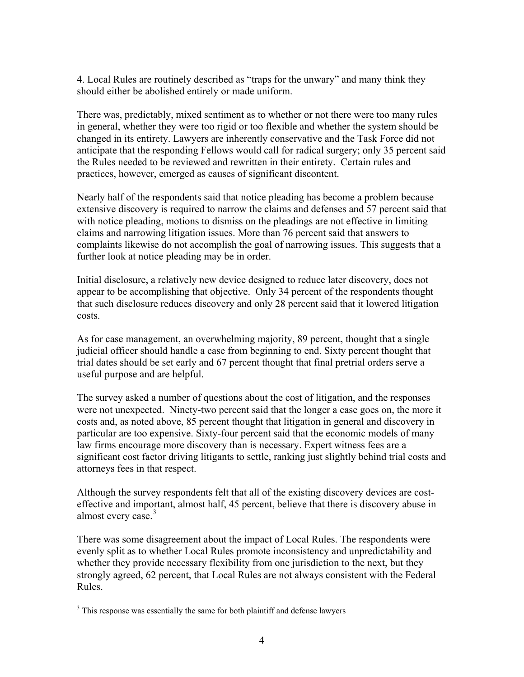4. Local Rules are routinely described as "traps for the unwary" and many think they should either be abolished entirely or made uniform.

There was, predictably, mixed sentiment as to whether or not there were too many rules in general, whether they were too rigid or too flexible and whether the system should be changed in its entirety. Lawyers are inherently conservative and the Task Force did not anticipate that the responding Fellows would call for radical surgery; only 35 percent said the Rules needed to be reviewed and rewritten in their entirety. Certain rules and practices, however, emerged as causes of significant discontent.

Nearly half of the respondents said that notice pleading has become a problem because extensive discovery is required to narrow the claims and defenses and 57 percent said that with notice pleading, motions to dismiss on the pleadings are not effective in limiting claims and narrowing litigation issues. More than 76 percent said that answers to complaints likewise do not accomplish the goal of narrowing issues. This suggests that a further look at notice pleading may be in order.

Initial disclosure, a relatively new device designed to reduce later discovery, does not appear to be accomplishing that objective. Only 34 percent of the respondents thought that such disclosure reduces discovery and only 28 percent said that it lowered litigation costs.

As for case management, an overwhelming majority, 89 percent, thought that a single judicial officer should handle a case from beginning to end. Sixty percent thought that trial dates should be set early and 67 percent thought that final pretrial orders serve a useful purpose and are helpful.

The survey asked a number of questions about the cost of litigation, and the responses were not unexpected. Ninety-two percent said that the longer a case goes on, the more it costs and, as noted above, 85 percent thought that litigation in general and discovery in particular are too expensive. Sixty-four percent said that the economic models of many law firms encourage more discovery than is necessary. Expert witness fees are a significant cost factor driving litigants to settle, ranking just slightly behind trial costs and attorneys fees in that respect.

Although the survey respondents felt that all of the existing discovery devices are costeffective and important, almost half, 45 percent, believe that there is discovery abuse in almost every case.<sup>[3](#page-8-0)</sup>

There was some disagreement about the impact of Local Rules. The respondents were evenly split as to whether Local Rules promote inconsistency and unpredictability and whether they provide necessary flexibility from one jurisdiction to the next, but they strongly agreed, 62 percent, that Local Rules are not always consistent with the Federal Rules.

 $\overline{a}$ 

<span id="page-8-0"></span> $3$  This response was essentially the same for both plaintiff and defense lawyers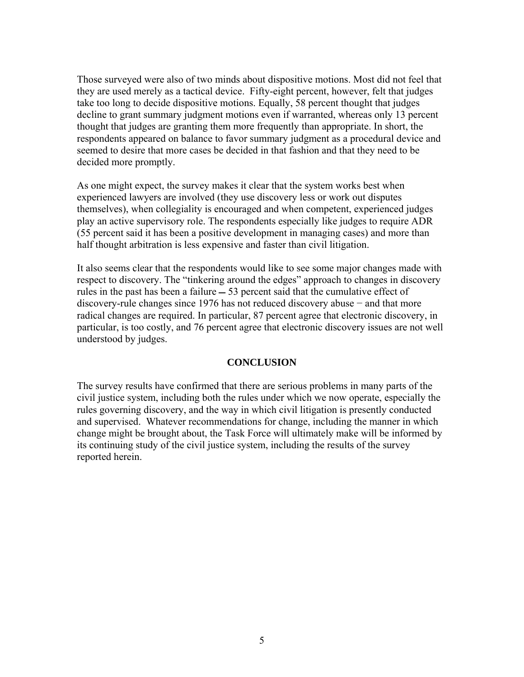Those surveyed were also of two minds about dispositive motions. Most did not feel that they are used merely as a tactical device. Fifty-eight percent, however, felt that judges take too long to decide dispositive motions. Equally, 58 percent thought that judges decline to grant summary judgment motions even if warranted, whereas only 13 percent thought that judges are granting them more frequently than appropriate. In short, the respondents appeared on balance to favor summary judgment as a procedural device and seemed to desire that more cases be decided in that fashion and that they need to be decided more promptly.

As one might expect, the survey makes it clear that the system works best when experienced lawyers are involved (they use discovery less or work out disputes themselves), when collegiality is encouraged and when competent, experienced judges play an active supervisory role. The respondents especially like judges to require ADR (55 percent said it has been a positive development in managing cases) and more than half thought arbitration is less expensive and faster than civil litigation.

It also seems clear that the respondents would like to see some major changes made with respect to discovery. The "tinkering around the edges" approach to changes in discovery rules in the past has been a failure  $-53$  percent said that the cumulative effect of discovery-rule changes since 1976 has not reduced discovery abuse − and that more radical changes are required. In particular, 87 percent agree that electronic discovery, in particular, is too costly, and 76 percent agree that electronic discovery issues are not well understood by judges.

#### **CONCLUSION**

The survey results have confirmed that there are serious problems in many parts of the civil justice system, including both the rules under which we now operate, especially the rules governing discovery, and the way in which civil litigation is presently conducted and supervised. Whatever recommendations for change, including the manner in which change might be brought about, the Task Force will ultimately make will be informed by its continuing study of the civil justice system, including the results of the survey reported herein.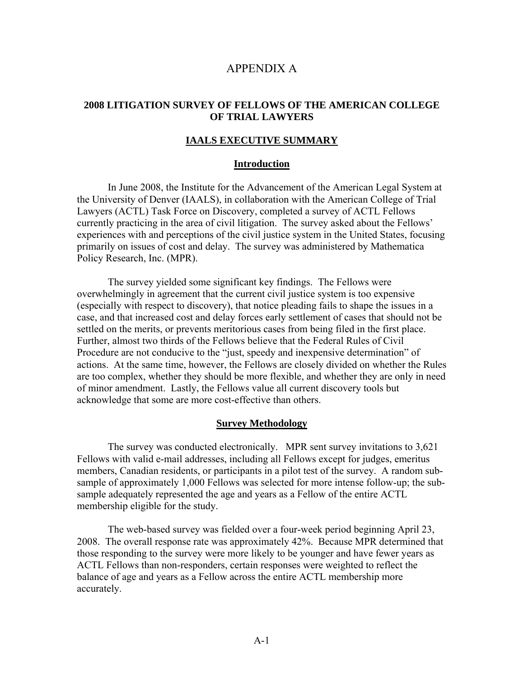# APPENDIX A

## **2008 LITIGATION SURVEY OF FELLOWS OF THE AMERICAN COLLEGE OF TRIAL LAWYERS**

#### **IAALS EXECUTIVE SUMMARY**

#### **Introduction**

 In June 2008, the Institute for the Advancement of the American Legal System at the University of Denver (IAALS), in collaboration with the American College of Trial Lawyers (ACTL) Task Force on Discovery, completed a survey of ACTL Fellows currently practicing in the area of civil litigation. The survey asked about the Fellows' experiences with and perceptions of the civil justice system in the United States, focusing primarily on issues of cost and delay. The survey was administered by Mathematica Policy Research, Inc. (MPR).

 The survey yielded some significant key findings. The Fellows were overwhelmingly in agreement that the current civil justice system is too expensive (especially with respect to discovery), that notice pleading fails to shape the issues in a case, and that increased cost and delay forces early settlement of cases that should not be settled on the merits, or prevents meritorious cases from being filed in the first place. Further, almost two thirds of the Fellows believe that the Federal Rules of Civil Procedure are not conducive to the "just, speedy and inexpensive determination" of actions. At the same time, however, the Fellows are closely divided on whether the Rules are too complex, whether they should be more flexible, and whether they are only in need of minor amendment. Lastly, the Fellows value all current discovery tools but acknowledge that some are more cost-effective than others.

#### **Survey Methodology**

 The survey was conducted electronically. MPR sent survey invitations to 3,621 Fellows with valid e-mail addresses, including all Fellows except for judges, emeritus members, Canadian residents, or participants in a pilot test of the survey. A random subsample of approximately 1,000 Fellows was selected for more intense follow-up; the subsample adequately represented the age and years as a Fellow of the entire ACTL membership eligible for the study.

 The web-based survey was fielded over a four-week period beginning April 23, 2008. The overall response rate was approximately 42%. Because MPR determined that those responding to the survey were more likely to be younger and have fewer years as ACTL Fellows than non-responders, certain responses were weighted to reflect the balance of age and years as a Fellow across the entire ACTL membership more accurately.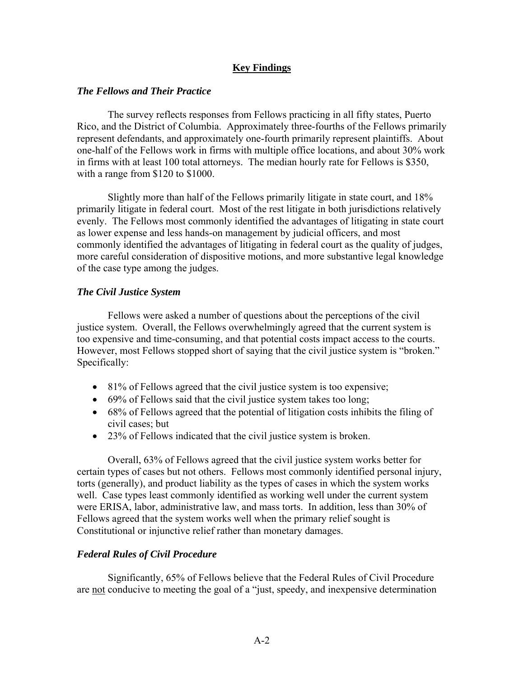# **Key Findings**

#### *The Fellows and Their Practice*

 The survey reflects responses from Fellows practicing in all fifty states, Puerto Rico, and the District of Columbia. Approximately three-fourths of the Fellows primarily represent defendants, and approximately one-fourth primarily represent plaintiffs. About one-half of the Fellows work in firms with multiple office locations, and about 30% work in firms with at least 100 total attorneys. The median hourly rate for Fellows is \$350, with a range from \$120 to \$1000.

 Slightly more than half of the Fellows primarily litigate in state court, and 18% primarily litigate in federal court. Most of the rest litigate in both jurisdictions relatively evenly. The Fellows most commonly identified the advantages of litigating in state court as lower expense and less hands-on management by judicial officers, and most commonly identified the advantages of litigating in federal court as the quality of judges, more careful consideration of dispositive motions, and more substantive legal knowledge of the case type among the judges.

#### *The Civil Justice System*

 Fellows were asked a number of questions about the perceptions of the civil justice system. Overall, the Fellows overwhelmingly agreed that the current system is too expensive and time-consuming, and that potential costs impact access to the courts. However, most Fellows stopped short of saying that the civil justice system is "broken." Specifically:

- 81% of Fellows agreed that the civil justice system is too expensive;
- 69% of Fellows said that the civil justice system takes too long;
- 68% of Fellows agreed that the potential of litigation costs inhibits the filing of civil cases; but
- 23% of Fellows indicated that the civil justice system is broken.

 Overall, 63% of Fellows agreed that the civil justice system works better for certain types of cases but not others. Fellows most commonly identified personal injury, torts (generally), and product liability as the types of cases in which the system works well. Case types least commonly identified as working well under the current system were ERISA, labor, administrative law, and mass torts. In addition, less than 30% of Fellows agreed that the system works well when the primary relief sought is Constitutional or injunctive relief rather than monetary damages.

# *Federal Rules of Civil Procedure*

 Significantly, 65% of Fellows believe that the Federal Rules of Civil Procedure are not conducive to meeting the goal of a "just, speedy, and inexpensive determination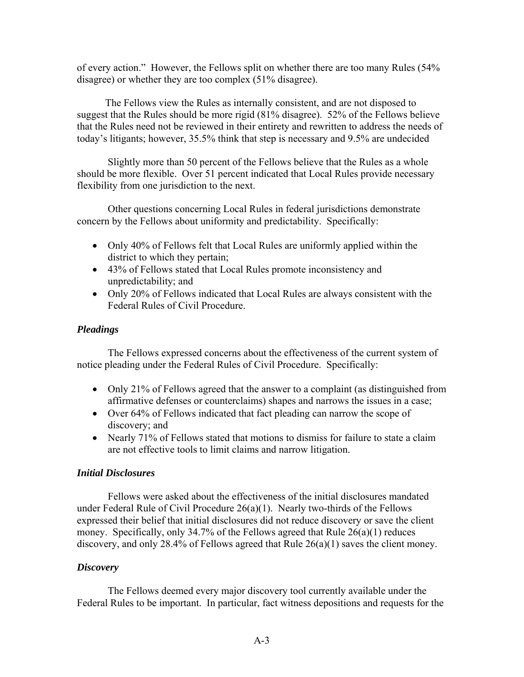of every action." However, the Fellows split on whether there are too many Rules (54% disagree) or whether they are too complex (51% disagree).

 The Fellows view the Rules as internally consistent, and are not disposed to suggest that the Rules should be more rigid (81% disagree). 52% of the Fellows believe that the Rules need not be reviewed in their entirety and rewritten to address the needs of today's litigants; however, 35.5% think that step is necessary and 9.5% are undecided

 Slightly more than 50 percent of the Fellows believe that the Rules as a whole should be more flexible. Over 51 percent indicated that Local Rules provide necessary flexibility from one jurisdiction to the next.

 Other questions concerning Local Rules in federal jurisdictions demonstrate concern by the Fellows about uniformity and predictability. Specifically:

- Only 40% of Fellows felt that Local Rules are uniformly applied within the district to which they pertain;
- 43% of Fellows stated that Local Rules promote inconsistency and unpredictability; and
- Only 20% of Fellows indicated that Local Rules are always consistent with the Federal Rules of Civil Procedure.

## *Pleadings*

 The Fellows expressed concerns about the effectiveness of the current system of notice pleading under the Federal Rules of Civil Procedure. Specifically:

- Only 21% of Fellows agreed that the answer to a complaint (as distinguished from affirmative defenses or counterclaims) shapes and narrows the issues in a case;
- Over 64% of Fellows indicated that fact pleading can narrow the scope of discovery; and
- Nearly 71% of Fellows stated that motions to dismiss for failure to state a claim are not effective tools to limit claims and narrow litigation.

## *Initial Disclosures*

 Fellows were asked about the effectiveness of the initial disclosures mandated under Federal Rule of Civil Procedure 26(a)(1). Nearly two-thirds of the Fellows expressed their belief that initial disclosures did not reduce discovery or save the client money. Specifically, only 34.7% of the Fellows agreed that Rule 26(a)(1) reduces discovery, and only 28.4% of Fellows agreed that Rule 26(a)(1) saves the client money.

#### *Discovery*

 The Fellows deemed every major discovery tool currently available under the Federal Rules to be important. In particular, fact witness depositions and requests for the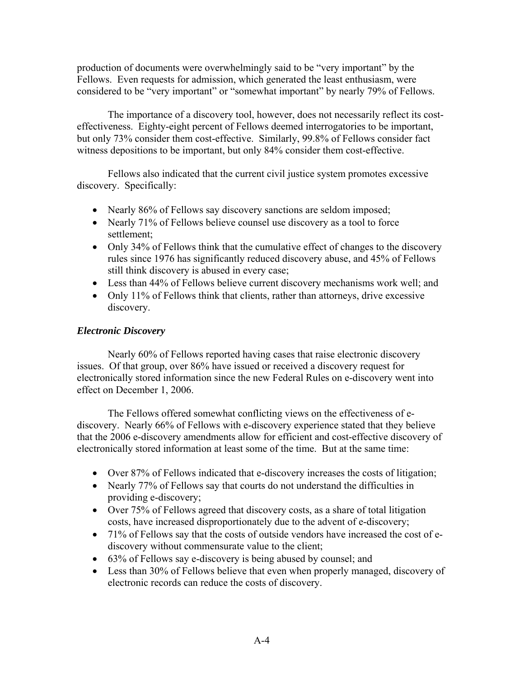production of documents were overwhelmingly said to be "very important" by the Fellows. Even requests for admission, which generated the least enthusiasm, were considered to be "very important" or "somewhat important" by nearly 79% of Fellows.

 The importance of a discovery tool, however, does not necessarily reflect its costeffectiveness. Eighty-eight percent of Fellows deemed interrogatories to be important, but only 73% consider them cost-effective. Similarly, 99.8% of Fellows consider fact witness depositions to be important, but only 84% consider them cost-effective.

 Fellows also indicated that the current civil justice system promotes excessive discovery. Specifically:

- Nearly 86% of Fellows say discovery sanctions are seldom imposed;
- Nearly 71% of Fellows believe counsel use discovery as a tool to force settlement;
- Only 34% of Fellows think that the cumulative effect of changes to the discovery rules since 1976 has significantly reduced discovery abuse, and 45% of Fellows still think discovery is abused in every case;
- Less than 44% of Fellows believe current discovery mechanisms work well; and
- Only 11% of Fellows think that clients, rather than attorneys, drive excessive discovery.

# *Electronic Discovery*

 Nearly 60% of Fellows reported having cases that raise electronic discovery issues. Of that group, over 86% have issued or received a discovery request for electronically stored information since the new Federal Rules on e-discovery went into effect on December 1, 2006.

 The Fellows offered somewhat conflicting views on the effectiveness of ediscovery. Nearly 66% of Fellows with e-discovery experience stated that they believe that the 2006 e-discovery amendments allow for efficient and cost-effective discovery of electronically stored information at least some of the time. But at the same time:

- Over 87% of Fellows indicated that e-discovery increases the costs of litigation;
- Nearly 77% of Fellows say that courts do not understand the difficulties in providing e-discovery;
- Over 75% of Fellows agreed that discovery costs, as a share of total litigation costs, have increased disproportionately due to the advent of e-discovery;
- 71% of Fellows say that the costs of outside vendors have increased the cost of ediscovery without commensurate value to the client;
- 63% of Fellows say e-discovery is being abused by counsel; and
- Less than 30% of Fellows believe that even when properly managed, discovery of electronic records can reduce the costs of discovery.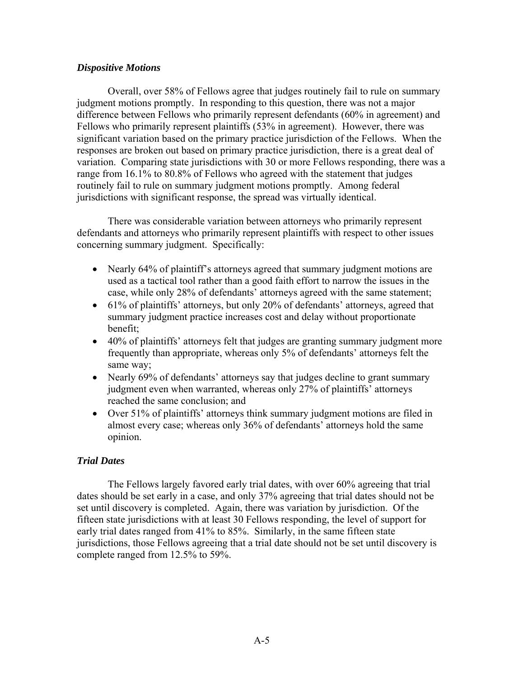#### *Dispositive Motions*

 Overall, over 58% of Fellows agree that judges routinely fail to rule on summary judgment motions promptly. In responding to this question, there was not a major difference between Fellows who primarily represent defendants (60% in agreement) and Fellows who primarily represent plaintiffs (53% in agreement). However, there was significant variation based on the primary practice jurisdiction of the Fellows. When the responses are broken out based on primary practice jurisdiction, there is a great deal of variation. Comparing state jurisdictions with 30 or more Fellows responding, there was a range from 16.1% to 80.8% of Fellows who agreed with the statement that judges routinely fail to rule on summary judgment motions promptly. Among federal jurisdictions with significant response, the spread was virtually identical.

 There was considerable variation between attorneys who primarily represent defendants and attorneys who primarily represent plaintiffs with respect to other issues concerning summary judgment. Specifically:

- Nearly 64% of plaintiff's attorneys agreed that summary judgment motions are used as a tactical tool rather than a good faith effort to narrow the issues in the case, while only 28% of defendants' attorneys agreed with the same statement;
- 61% of plaintiffs' attorneys, but only 20% of defendants' attorneys, agreed that summary judgment practice increases cost and delay without proportionate benefit;
- 40% of plaintiffs' attorneys felt that judges are granting summary judgment more frequently than appropriate, whereas only 5% of defendants' attorneys felt the same way;
- Nearly 69% of defendants' attorneys say that judges decline to grant summary judgment even when warranted, whereas only 27% of plaintiffs' attorneys reached the same conclusion; and
- Over 51% of plaintiffs' attorneys think summary judgment motions are filed in almost every case; whereas only 36% of defendants' attorneys hold the same opinion.

# *Trial Dates*

 The Fellows largely favored early trial dates, with over 60% agreeing that trial dates should be set early in a case, and only 37% agreeing that trial dates should not be set until discovery is completed. Again, there was variation by jurisdiction. Of the fifteen state jurisdictions with at least 30 Fellows responding, the level of support for early trial dates ranged from 41% to 85%. Similarly, in the same fifteen state jurisdictions, those Fellows agreeing that a trial date should not be set until discovery is complete ranged from 12.5% to 59%.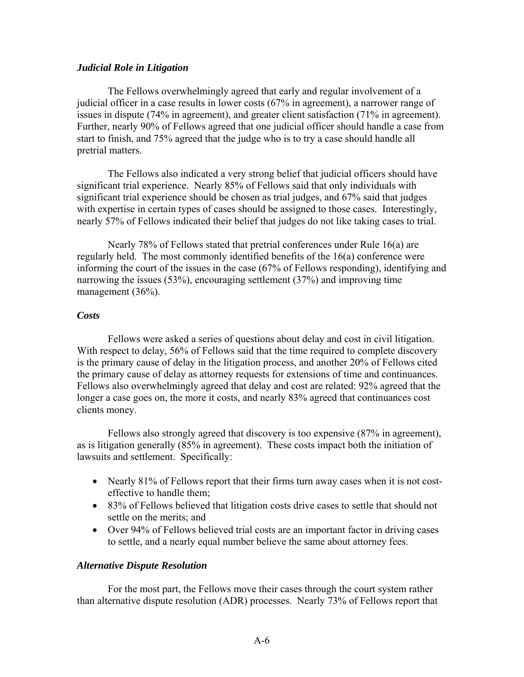#### *Judicial Role in Litigation*

 The Fellows overwhelmingly agreed that early and regular involvement of a judicial officer in a case results in lower costs (67% in agreement), a narrower range of issues in dispute (74% in agreement), and greater client satisfaction (71% in agreement). Further, nearly 90% of Fellows agreed that one judicial officer should handle a case from start to finish, and 75% agreed that the judge who is to try a case should handle all pretrial matters.

 The Fellows also indicated a very strong belief that judicial officers should have significant trial experience. Nearly 85% of Fellows said that only individuals with significant trial experience should be chosen as trial judges, and 67% said that judges with expertise in certain types of cases should be assigned to those cases. Interestingly, nearly 57% of Fellows indicated their belief that judges do not like taking cases to trial.

 Nearly 78% of Fellows stated that pretrial conferences under Rule 16(a) are regularly held. The most commonly identified benefits of the 16(a) conference were informing the court of the issues in the case (67% of Fellows responding), identifying and narrowing the issues (53%), encouraging settlement (37%) and improving time management (36%).

#### *Costs*

 Fellows were asked a series of questions about delay and cost in civil litigation. With respect to delay, 56% of Fellows said that the time required to complete discovery is the primary cause of delay in the litigation process, and another 20% of Fellows cited the primary cause of delay as attorney requests for extensions of time and continuances. Fellows also overwhelmingly agreed that delay and cost are related: 92% agreed that the longer a case goes on, the more it costs, and nearly 83% agreed that continuances cost clients money.

 Fellows also strongly agreed that discovery is too expensive (87% in agreement), as is litigation generally (85% in agreement). These costs impact both the initiation of lawsuits and settlement. Specifically:

- Nearly 81% of Fellows report that their firms turn away cases when it is not costeffective to handle them;
- 83% of Fellows believed that litigation costs drive cases to settle that should not settle on the merits; and
- Over 94% of Fellows believed trial costs are an important factor in driving cases to settle, and a nearly equal number believe the same about attorney fees.

#### *Alternative Dispute Resolution*

 For the most part, the Fellows move their cases through the court system rather than alternative dispute resolution (ADR) processes. Nearly 73% of Fellows report that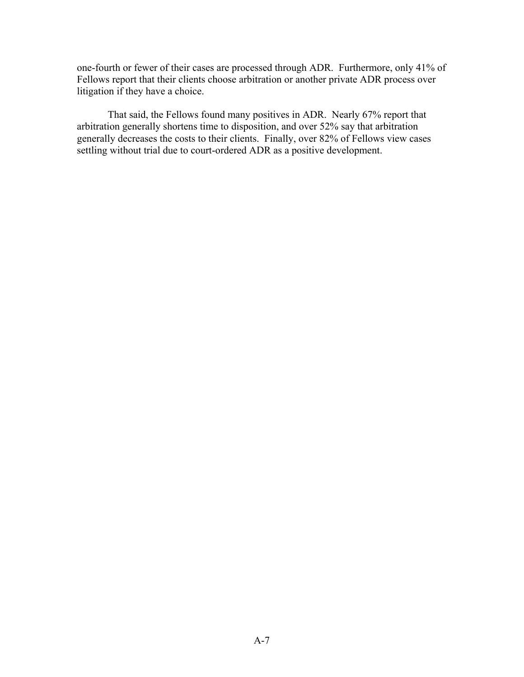one-fourth or fewer of their cases are processed through ADR. Furthermore, only 41% of Fellows report that their clients choose arbitration or another private ADR process over litigation if they have a choice.

 That said, the Fellows found many positives in ADR. Nearly 67% report that arbitration generally shortens time to disposition, and over 52% say that arbitration generally decreases the costs to their clients. Finally, over 82% of Fellows view cases settling without trial due to court-ordered ADR as a positive development.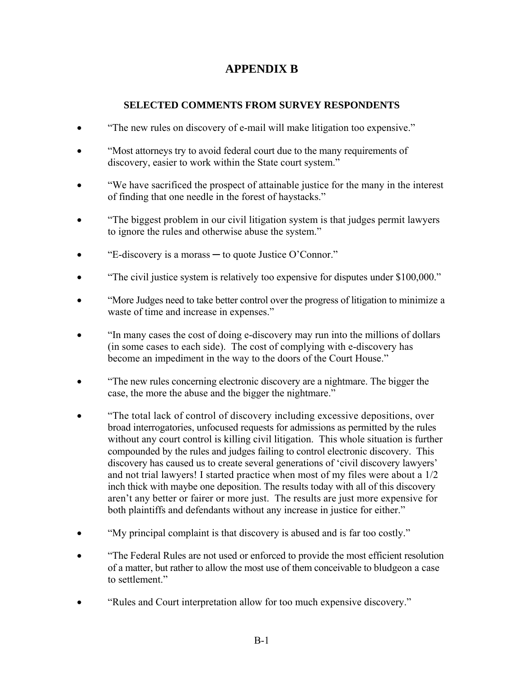# **APPENDIX B**

# **SELECTED COMMENTS FROM SURVEY RESPONDENTS**

- "The new rules on discovery of e-mail will make litigation too expensive."
- "Most attorneys try to avoid federal court due to the many requirements of discovery, easier to work within the State court system."
- "We have sacrificed the prospect of attainable justice for the many in the interest of finding that one needle in the forest of haystacks."
- "The biggest problem in our civil litigation system is that judges permit lawyers to ignore the rules and otherwise abuse the system."
- "E-discovery is a morass ─ to quote Justice O'Connor."
- "The civil justice system is relatively too expensive for disputes under \$100,000."
- "More Judges need to take better control over the progress of litigation to minimize a waste of time and increase in expenses."
- "In many cases the cost of doing e-discovery may run into the millions of dollars (in some cases to each side). The cost of complying with e-discovery has become an impediment in the way to the doors of the Court House."
- "The new rules concerning electronic discovery are a nightmare. The bigger the case, the more the abuse and the bigger the nightmare."
- "The total lack of control of discovery including excessive depositions, over broad interrogatories, unfocused requests for admissions as permitted by the rules without any court control is killing civil litigation. This whole situation is further compounded by the rules and judges failing to control electronic discovery. This discovery has caused us to create several generations of 'civil discovery lawyers' and not trial lawyers! I started practice when most of my files were about a 1/2 inch thick with maybe one deposition. The results today with all of this discovery aren't any better or fairer or more just. The results are just more expensive for both plaintiffs and defendants without any increase in justice for either."
- "My principal complaint is that discovery is abused and is far too costly."
- "The Federal Rules are not used or enforced to provide the most efficient resolution of a matter, but rather to allow the most use of them conceivable to bludgeon a case to settlement."
- "Rules and Court interpretation allow for too much expensive discovery."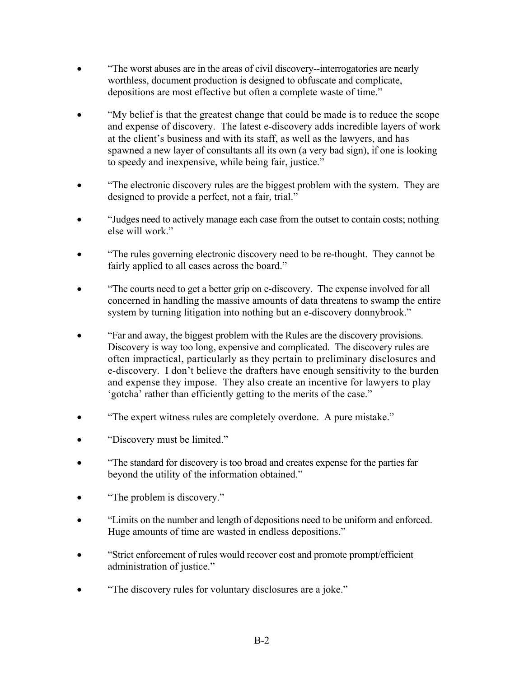- "The worst abuses are in the areas of civil discovery--interrogatories are nearly worthless, document production is designed to obfuscate and complicate, depositions are most effective but often a complete waste of time."
- "My belief is that the greatest change that could be made is to reduce the scope and expense of discovery. The latest e-discovery adds incredible layers of work at the client's business and with its staff, as well as the lawyers, and has spawned a new layer of consultants all its own (a very bad sign), if one is looking to speedy and inexpensive, while being fair, justice."
- "The electronic discovery rules are the biggest problem with the system. They are designed to provide a perfect, not a fair, trial."
- "Judges need to actively manage each case from the outset to contain costs; nothing else will work."
- "The rules governing electronic discovery need to be re-thought. They cannot be fairly applied to all cases across the board."
- "The courts need to get a better grip on e-discovery. The expense involved for all concerned in handling the massive amounts of data threatens to swamp the entire system by turning litigation into nothing but an e-discovery donnybrook."
- "Far and away, the biggest problem with the Rules are the discovery provisions. Discovery is way too long, expensive and complicated. The discovery rules are often impractical, particularly as they pertain to preliminary disclosures and e-discovery. I don't believe the drafters have enough sensitivity to the burden and expense they impose. They also create an incentive for lawyers to play 'gotcha' rather than efficiently getting to the merits of the case."
- "The expert witness rules are completely overdone. A pure mistake."
- "Discovery must be limited."
- "The standard for discovery is too broad and creates expense for the parties far beyond the utility of the information obtained."
- "The problem is discovery."
- "Limits on the number and length of depositions need to be uniform and enforced. Huge amounts of time are wasted in endless depositions."
- "Strict enforcement of rules would recover cost and promote prompt/efficient administration of justice."
- "The discovery rules for voluntary disclosures are a joke."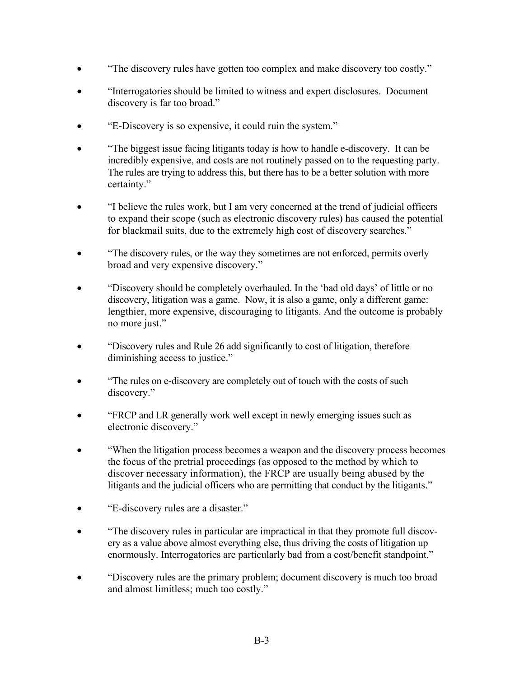- "The discovery rules have gotten too complex and make discovery too costly."
- "Interrogatories should be limited to witness and expert disclosures. Document discovery is far too broad."
- "E-Discovery is so expensive, it could ruin the system."
- "The biggest issue facing litigants today is how to handle e-discovery. It can be incredibly expensive, and costs are not routinely passed on to the requesting party. The rules are trying to address this, but there has to be a better solution with more certainty."
- "I believe the rules work, but I am very concerned at the trend of judicial officers to expand their scope (such as electronic discovery rules) has caused the potential for blackmail suits, due to the extremely high cost of discovery searches."
- "The discovery rules, or the way they sometimes are not enforced, permits overly broad and very expensive discovery."
- "Discovery should be completely overhauled. In the 'bad old days' of little or no discovery, litigation was a game. Now, it is also a game, only a different game: lengthier, more expensive, discouraging to litigants. And the outcome is probably no more just."
- "Discovery rules and Rule 26 add significantly to cost of litigation, therefore diminishing access to justice."
- "The rules on e-discovery are completely out of touch with the costs of such discovery."
- "FRCP and LR generally work well except in newly emerging issues such as electronic discovery."
- "When the litigation process becomes a weapon and the discovery process becomes the focus of the pretrial proceedings (as opposed to the method by which to discover necessary information), the FRCP are usually being abused by the litigants and the judicial officers who are permitting that conduct by the litigants."
- "E-discovery rules are a disaster."
- "The discovery rules in particular are impractical in that they promote full discovery as a value above almost everything else, thus driving the costs of litigation up enormously. Interrogatories are particularly bad from a cost/benefit standpoint."
- "Discovery rules are the primary problem; document discovery is much too broad and almost limitless; much too costly."